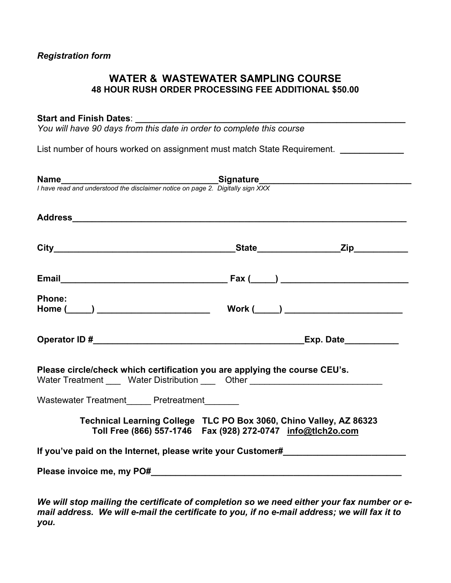# **WATER & WASTEWATER SAMPLING COURSE 48 HOUR RUSH ORDER PROCESSING FEE ADDITIONAL \$50.00**

# **Start and Finish Dates**: **\_\_\_\_\_\_\_\_\_\_\_\_\_\_\_\_\_\_\_\_\_\_\_\_\_\_\_\_\_\_\_\_\_\_\_\_\_\_\_\_\_\_\_\_\_\_\_\_\_\_\_\_\_\_\_**

*You will have 90 days from this date in order to complete this course* 

List number of hours worked on assignment must match State Requirement. *\_\_\_\_\_\_\_\_\_\_\_\_* 

|                                                                                                                                                                | <b>Name</b><br>I have read and understood the disclaimer notice on page 2. Digitally sign XXX |  |  |
|----------------------------------------------------------------------------------------------------------------------------------------------------------------|-----------------------------------------------------------------------------------------------|--|--|
|                                                                                                                                                                |                                                                                               |  |  |
|                                                                                                                                                                |                                                                                               |  |  |
|                                                                                                                                                                |                                                                                               |  |  |
| <b>Phone:</b>                                                                                                                                                  |                                                                                               |  |  |
|                                                                                                                                                                |                                                                                               |  |  |
| Please circle/check which certification you are applying the course CEU's.<br>Water Treatment _____ Water Distribution _____ Other ___________________________ |                                                                                               |  |  |
| Wastewater Treatment______ Pretreatment________                                                                                                                |                                                                                               |  |  |
| Technical Learning College TLC PO Box 3060, Chino Valley, AZ 86323<br>Toll Free (866) 557-1746    Fax (928) 272-0747    info@tlch2o.com                        |                                                                                               |  |  |
|                                                                                                                                                                | If you've paid on the Internet, please write your Customer#                                   |  |  |
|                                                                                                                                                                |                                                                                               |  |  |

*We will stop mailing the certificate of completion so we need either your fax number or email address. We will e-mail the certificate to you, if no e-mail address; we will fax it to you.*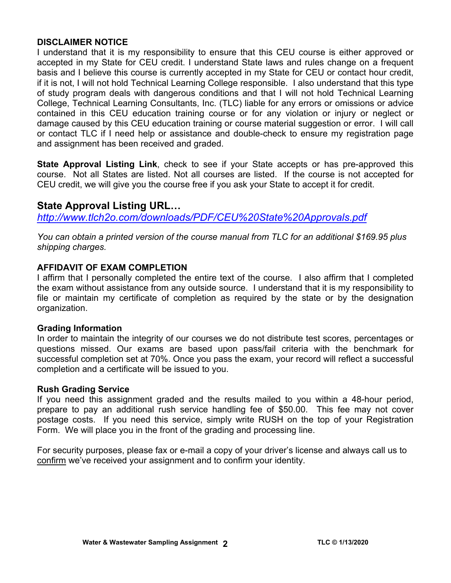# **DISCLAIMER NOTICE**

I understand that it is my responsibility to ensure that this CEU course is either approved or accepted in my State for CEU credit. I understand State laws and rules change on a frequent basis and I believe this course is currently accepted in my State for CEU or contact hour credit, if it is not, I will not hold Technical Learning College responsible. I also understand that this type of study program deals with dangerous conditions and that I will not hold Technical Learning College, Technical Learning Consultants, Inc. (TLC) liable for any errors or omissions or advice contained in this CEU education training course or for any violation or injury or neglect or damage caused by this CEU education training or course material suggestion or error. I will call or contact TLC if I need help or assistance and double-check to ensure my registration page and assignment has been received and graded.

**State Approval Listing Link**, check to see if your State accepts or has pre-approved this course. Not all States are listed. Not all courses are listed. If the course is not accepted for CEU credit, we will give you the course free if you ask your State to accept it for credit.

# **State Approval Listing URL…**

*<http://www.tlch2o.com/downloads/PDF/CEU%20State%20Approvals.pdf>*

*You can obtain a printed version of the course manual from TLC for an additional \$169.95 plus shipping charges.* 

# **AFFIDAVIT OF EXAM COMPLETION**

I affirm that I personally completed the entire text of the course. I also affirm that I completed the exam without assistance from any outside source. I understand that it is my responsibility to file or maintain my certificate of completion as required by the state or by the designation organization.

# **Grading Information**

In order to maintain the integrity of our courses we do not distribute test scores, percentages or questions missed. Our exams are based upon pass/fail criteria with the benchmark for successful completion set at 70%. Once you pass the exam, your record will reflect a successful completion and a certificate will be issued to you.

# **Rush Grading Service**

If you need this assignment graded and the results mailed to you within a 48-hour period, prepare to pay an additional rush service handling fee of \$50.00. This fee may not cover postage costs. If you need this service, simply write RUSH on the top of your Registration Form. We will place you in the front of the grading and processing line.

For security purposes, please fax or e-mail a copy of your driver's license and always call us to confirm we've received your assignment and to confirm your identity.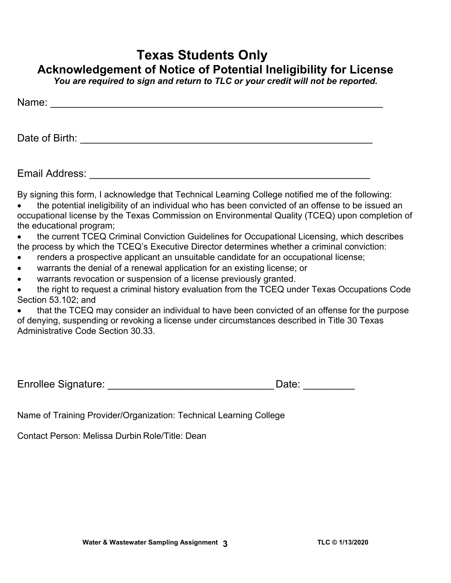# **Texas Students Only Acknowledgement of Notice of Potential Ineligibility for License**

*You are required to sign and return to TLC or your credit will not be reported.* 

| Name:          |  |  |  |
|----------------|--|--|--|
|                |  |  |  |
|                |  |  |  |
| Date of Birth: |  |  |  |

Email Address: \_\_\_\_\_\_\_\_\_\_\_\_\_\_\_\_\_\_\_\_\_\_\_\_\_\_\_\_\_\_\_\_\_\_\_\_\_\_\_\_\_\_\_\_\_\_\_\_\_

By signing this form, I acknowledge that Technical Learning College notified me of the following:

- the potential ineligibility of an individual who has been convicted of an offense to be issued an occupational license by the Texas Commission on Environmental Quality (TCEQ) upon completion of the educational program;
- the current TCEQ Criminal Conviction Guidelines for Occupational Licensing, which describes the process by which the TCEQ's Executive Director determines whether a criminal conviction:
- renders a prospective applicant an unsuitable candidate for an occupational license;
- warrants the denial of a renewal application for an existing license; or
- warrants revocation or suspension of a license previously granted.

 the right to request a criminal history evaluation from the TCEQ under Texas Occupations Code Section 53.102; and

 that the TCEQ may consider an individual to have been convicted of an offense for the purpose of denying, suspending or revoking a license under circumstances described in Title 30 Texas Administrative Code Section 30.33.

| <b>Enrollee Signature:</b> | Date: |
|----------------------------|-------|
|                            |       |

Name of Training Provider/Organization: Technical Learning College

Contact Person: Melissa Durbin Role/Title: Dean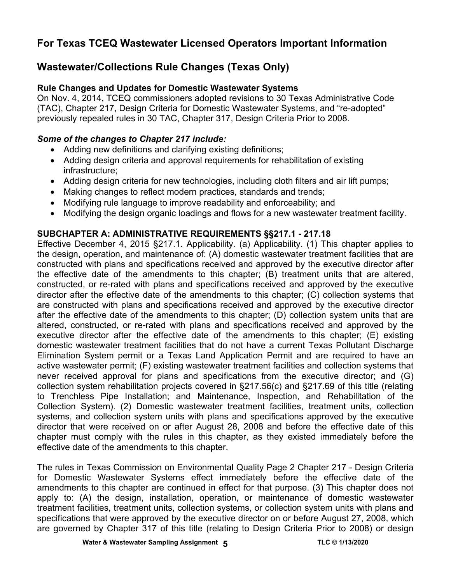# **For Texas TCEQ Wastewater Licensed Operators Important Information**

# **Wastewater/Collections Rule Changes (Texas Only)**

# **Rule Changes and Updates for Domestic Wastewater Systems**

On Nov. 4, 2014, TCEQ commissioners adopted revisions to 30 Texas Administrative Code (TAC), Chapter 217, Design Criteria for Domestic Wastewater Systems, and "re-adopted" previously repealed rules in 30 TAC, Chapter 317, Design Criteria Prior to 2008.

# *Some of the changes to Chapter 217 include:*

- Adding new definitions and clarifying existing definitions;
- Adding design criteria and approval requirements for rehabilitation of existing infrastructure;
- Adding design criteria for new technologies, including cloth filters and air lift pumps;
- Making changes to reflect modern practices, standards and trends;
- Modifying rule language to improve readability and enforceability; and
- Modifying the design organic loadings and flows for a new wastewater treatment facility.

# **SUBCHAPTER A: ADMINISTRATIVE REQUIREMENTS §§217.1 - 217.18**

Effective December 4, 2015 §217.1. Applicability. (a) Applicability. (1) This chapter applies to the design, operation, and maintenance of: (A) domestic wastewater treatment facilities that are constructed with plans and specifications received and approved by the executive director after the effective date of the amendments to this chapter; (B) treatment units that are altered, constructed, or re-rated with plans and specifications received and approved by the executive director after the effective date of the amendments to this chapter; (C) collection systems that are constructed with plans and specifications received and approved by the executive director after the effective date of the amendments to this chapter; (D) collection system units that are altered, constructed, or re-rated with plans and specifications received and approved by the executive director after the effective date of the amendments to this chapter; (E) existing domestic wastewater treatment facilities that do not have a current Texas Pollutant Discharge Elimination System permit or a Texas Land Application Permit and are required to have an active wastewater permit; (F) existing wastewater treatment facilities and collection systems that never received approval for plans and specifications from the executive director; and (G) collection system rehabilitation projects covered in §217.56(c) and §217.69 of this title (relating to Trenchless Pipe Installation; and Maintenance, Inspection, and Rehabilitation of the Collection System). (2) Domestic wastewater treatment facilities, treatment units, collection systems, and collection system units with plans and specifications approved by the executive director that were received on or after August 28, 2008 and before the effective date of this chapter must comply with the rules in this chapter, as they existed immediately before the effective date of the amendments to this chapter.

The rules in Texas Commission on Environmental Quality Page 2 Chapter 217 - Design Criteria for Domestic Wastewater Systems effect immediately before the effective date of the amendments to this chapter are continued in effect for that purpose. (3) This chapter does not apply to: (A) the design, installation, operation, or maintenance of domestic wastewater treatment facilities, treatment units, collection systems, or collection system units with plans and specifications that were approved by the executive director on or before August 27, 2008, which are governed by Chapter 317 of this title (relating to Design Criteria Prior to 2008) or design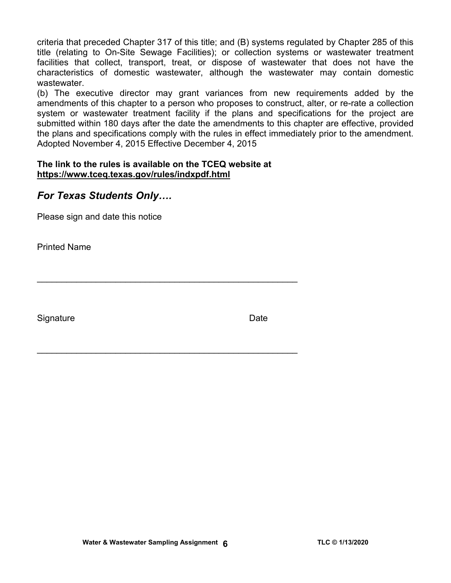criteria that preceded Chapter 317 of this title; and (B) systems regulated by Chapter 285 of this title (relating to On-Site Sewage Facilities); or collection systems or wastewater treatment facilities that collect, transport, treat, or dispose of wastewater that does not have the characteristics of domestic wastewater, although the wastewater may contain domestic wastewater.

(b) The executive director may grant variances from new requirements added by the amendments of this chapter to a person who proposes to construct, alter, or re-rate a collection system or wastewater treatment facility if the plans and specifications for the project are submitted within 180 days after the date the amendments to this chapter are effective, provided the plans and specifications comply with the rules in effect immediately prior to the amendment. Adopted November 4, 2015 Effective December 4, 2015

# **The link to the rules is available on the TCEQ website at <https://www.tceq.texas.gov/rules/indxpdf.html>**

 $\mathcal{L}_\text{max}$  , and the contract of the contract of the contract of the contract of the contract of the contract of the contract of the contract of the contract of the contract of the contract of the contract of the contr

\_\_\_\_\_\_\_\_\_\_\_\_\_\_\_\_\_\_\_\_\_\_\_\_\_\_\_\_\_\_\_\_\_\_\_\_\_\_\_\_\_\_\_\_\_\_\_\_\_\_\_\_\_

# *For Texas Students Only….*

Please sign and date this notice

Printed Name

Signature Date **Date**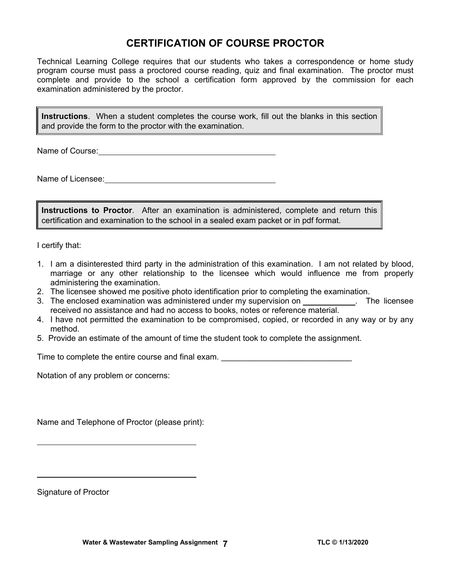# **CERTIFICATION OF COURSE PROCTOR**

Technical Learning College requires that our students who takes a correspondence or home study program course must pass a proctored course reading, quiz and final examination. The proctor must complete and provide to the school a certification form approved by the commission for each examination administered by the proctor.

**Instructions**. When a student completes the course work, fill out the blanks in this section and provide the form to the proctor with the examination.

Name of Course:  $\blacksquare$ 

Name of Licensee:

**Instructions to Proctor**. After an examination is administered, complete and return this certification and examination to the school in a sealed exam packet or in pdf format.

I certify that:

- 1. I am a disinterested third party in the administration of this examination. I am not related by blood, marriage or any other relationship to the licensee which would influence me from properly administering the examination.
- 2. The licensee showed me positive photo identification prior to completing the examination.
- 3. The enclosed examination was administered under my supervision on . The licensee received no assistance and had no access to books, notes or reference material.
- 4. I have not permitted the examination to be compromised, copied, or recorded in any way or by any method.
- 5. Provide an estimate of the amount of time the student took to complete the assignment.

Time to complete the entire course and final exam. \_\_\_\_\_\_\_\_\_\_\_\_\_\_\_\_\_\_\_\_\_\_\_\_\_\_\_\_\_

Notation of any problem or concerns:

Name and Telephone of Proctor (please print):

Signature of Proctor

 $\overline{a}$ 

 $\overline{a}$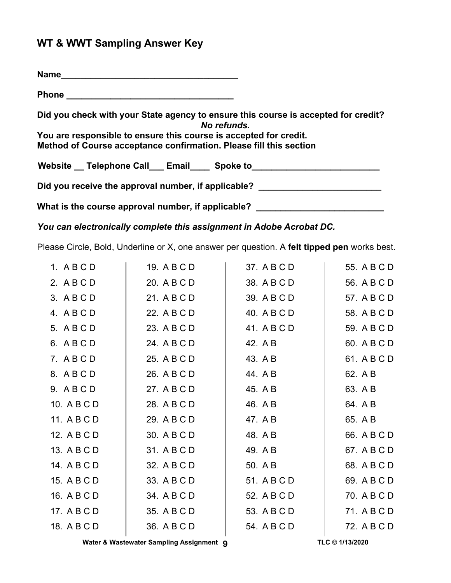# **WT & WWT Sampling Answer Key**

| <b>Name</b>                                                                                                                             |
|-----------------------------------------------------------------------------------------------------------------------------------------|
|                                                                                                                                         |
| Did you check with your State agency to ensure this course is accepted for credit?<br>No refunds.                                       |
| You are responsible to ensure this course is accepted for credit.<br>Method of Course acceptance confirmation. Please fill this section |
| Website Telephone Call Email Spoke to                                                                                                   |
| Did you receive the approval number, if applicable?                                                                                     |
| What is the course approval number, if applicable?                                                                                      |

*You can electronically complete this assignment in Adobe Acrobat DC.* 

Please Circle, Bold, Underline or X, one answer per question. A **felt tipped pen** works best.

| 1. ABCD     | 19. A B C D | 37. A B C D | 55. A B C D |
|-------------|-------------|-------------|-------------|
| 2. ABCD     | 20. A B C D | 38. A B C D | 56. A B C D |
| 3. ABCD     | 21. A B C D | 39. A B C D | 57. A B C D |
| 4. ABCD     | 22. A B C D | 40. A B C D | 58. A B C D |
| 5. ABCD     | 23. A B C D | 41. A B C D | 59. A B C D |
| 6. ABCD     | 24. A B C D | 42. A B     | 60. A B C D |
| 7. ABCD     | 25. A B C D | 43. A B     | 61. A B C D |
| 8. ABCD     | 26. A B C D | 44. A B     | 62. A B     |
| 9. ABCD     | 27. A B C D | 45. A B     | 63. A B     |
| 10. A B C D | 28. A B C D | 46. A B     | 64. A B     |
| 11. A B C D | 29. A B C D | 47. A B     | 65. A B     |
| 12. A B C D | 30. A B C D | 48. A B     | 66. A B C D |
| 13. A B C D | 31. A B C D | 49. A B     | 67. A B C D |
| 14. A B C D | 32. A B C D | 50. A B     | 68. A B C D |
| 15. A B C D | 33. A B C D | 51. A B C D | 69. A B C D |
| 16. A B C D | 34. A B C D | 52. A B C D | 70. A B C D |
| 17. A B C D | 35. A B C D | 53. A B C D | 71. A B C D |
| 18. A B C D | 36. A B C D | 54. A B C D | 72. A B C D |
|             |             |             |             |

Water & Wastewater Sampling Assignment **9 TLC © 1/13/2020**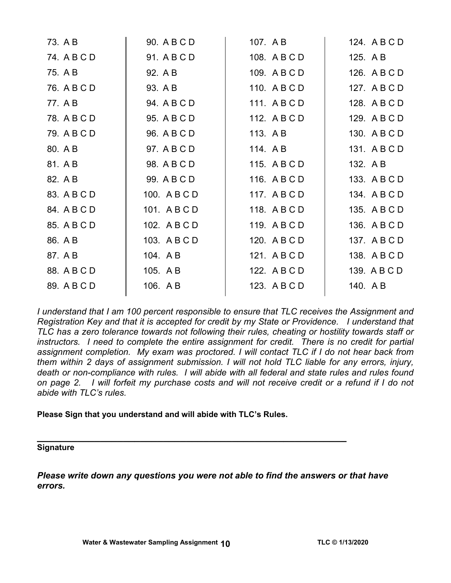| 73. A B     | 90. A B C D  | 107. A B     | 124. A B C D |
|-------------|--------------|--------------|--------------|
| 74. A B C D | 91. A B C D  | 108. A B C D | 125. A B     |
| 75. A B     | 92. A B      | 109. A B C D | 126. A B C D |
| 76. A B C D | 93. A B      | 110. A B C D | 127. A B C D |
| 77. A B     | 94. A B C D  | 111. ABCD    | 128. A B C D |
| 78. A B C D | 95. A B C D  | 112. A B C D | 129. A B C D |
| 79. A B C D | 96. A B C D  | 113. AB      | 130. A B C D |
| 80. A B     | 97. A B C D  | 114. A B     | 131. ABCD    |
| 81. A B     | 98. A B C D  | 115. ABCD    | 132. A B     |
| 82. A B     | 99. A B C D  | 116. A B C D | 133. A B C D |
| 83. A B C D | 100. A B C D | 117. ABCD    | 134. A B C D |
| 84. A B C D | 101. ABCD    | 118. A B C D | 135. A B C D |
| 85. A B C D | 102. A B C D | 119. ABCD    | 136. A B C D |
| 86. A B     | 103. A B C D | 120. A B C D | 137. A B C D |
| 87. A B     | 104. AB      | 121. ABCD    | 138. A B C D |
| 88. A B C D | 105. A B     | 122. A B C D | 139. A B C D |
| 89. A B C D | 106. AB      | 123. A B C D | 140. AB      |
|             |              |              |              |

*I understand that I am 100 percent responsible to ensure that TLC receives the Assignment and Registration Key and that it is accepted for credit by my State or Providence. I understand that TLC has a zero tolerance towards not following their rules, cheating or hostility towards staff or instructors. I need to complete the entire assignment for credit. There is no credit for partial assignment completion. My exam was proctored. I will contact TLC if I do not hear back from them within 2 days of assignment submission. I will not hold TLC liable for any errors, injury, death or non-compliance with rules. I will abide with all federal and state rules and rules found on page 2. I will forfeit my purchase costs and will not receive credit or a refund if I do not abide with TLC's rules.* 

# **Please Sign that you understand and will abide with TLC's Rules.**

# **\_\_\_\_\_\_\_\_\_\_\_\_\_\_\_\_\_\_\_\_\_\_\_\_\_\_\_\_\_\_\_\_\_\_\_\_\_\_\_\_\_\_\_\_\_\_\_\_\_\_\_\_\_\_ Signature**

*Please write down any questions you were not able to find the answers or that have errors.*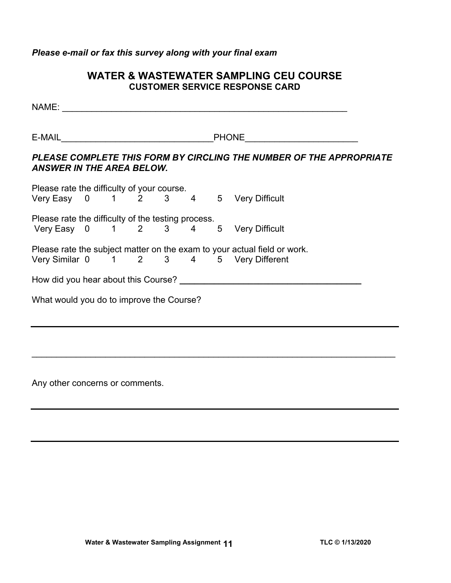*Please e-mail or fax this survey along with your final exam* 

# **WATER & WASTEWATER SAMPLING CEU COURSE CUSTOMER SERVICE RESPONSE CARD**

NAME: \_\_\_\_\_\_\_\_\_\_\_\_\_\_\_\_\_\_\_\_\_\_\_\_\_\_\_\_\_\_\_\_\_\_\_\_\_\_\_\_\_\_\_\_\_\_\_\_\_\_\_\_\_\_\_\_\_\_  $E\text{-}{\sf MAL}$ *PLEASE COMPLETE THIS FORM BY CIRCLING THE NUMBER OF THE APPROPRIATE ANSWER IN THE AREA BELOW.*  Please rate the difficulty of your course. Very Easy 0 1 2 3 4 5 Very Difficult Please rate the difficulty of the testing process. Very Easy 0 1 2 3 4 5 Very Difficult Please rate the subject matter on the exam to your actual field or work. Very Similar 0 1 2 3 4 5 Very Different How did you hear about this Course?<br>
<u>Letting the contract of the contract of the contract of the contract of the contract of the contract of the contract of the contract of the contract of the contract of the contract of </u> What would you do to improve the Course?

 $\mathcal{L}_\mathcal{L} = \mathcal{L}_\mathcal{L} = \mathcal{L}_\mathcal{L} = \mathcal{L}_\mathcal{L} = \mathcal{L}_\mathcal{L} = \mathcal{L}_\mathcal{L} = \mathcal{L}_\mathcal{L} = \mathcal{L}_\mathcal{L} = \mathcal{L}_\mathcal{L} = \mathcal{L}_\mathcal{L} = \mathcal{L}_\mathcal{L} = \mathcal{L}_\mathcal{L} = \mathcal{L}_\mathcal{L} = \mathcal{L}_\mathcal{L} = \mathcal{L}_\mathcal{L} = \mathcal{L}_\mathcal{L} = \mathcal{L}_\mathcal{L}$ 

Any other concerns or comments.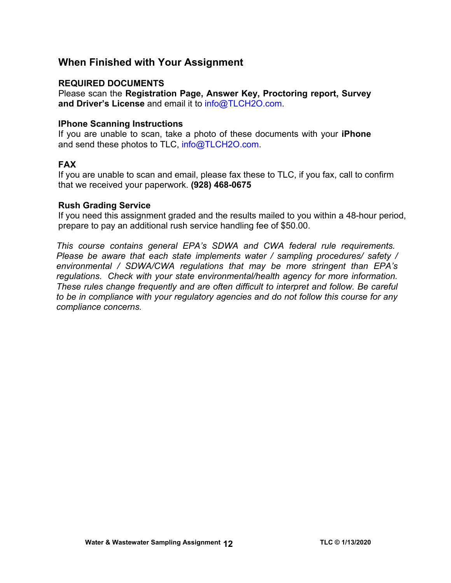# **When Finished with Your Assignment**

# **REQUIRED DOCUMENTS**

Please scan the **Registration Page, Answer Key, Proctoring report, Survey and Driver's License** and email it to [info@TLCH2O.com.](mailto:info@TLCH2O.com) 

# **IPhone Scanning Instructions**

If you are unable to scan, take a photo of these documents with your **iPhone** and send these photos to TLC, info@TLCH2O.com.

# **FAX**

If you are unable to scan and email, please fax these to TLC, if you fax, call to confirm that we received your paperwork. **(928) 468-0675** 

# **Rush Grading Service**

If you need this assignment graded and the results mailed to you within a 48-hour period, prepare to pay an additional rush service handling fee of \$50.00.

*This course contains general EPA's SDWA and CWA federal rule requirements. Please be aware that each state implements water / sampling procedures/ safety / environmental / SDWA/CWA regulations that may be more stringent than EPA's regulations. Check with your state environmental/health agency for more information. These rules change frequently and are often difficult to interpret and follow. Be careful to be in compliance with your regulatory agencies and do not follow this course for any compliance concerns.*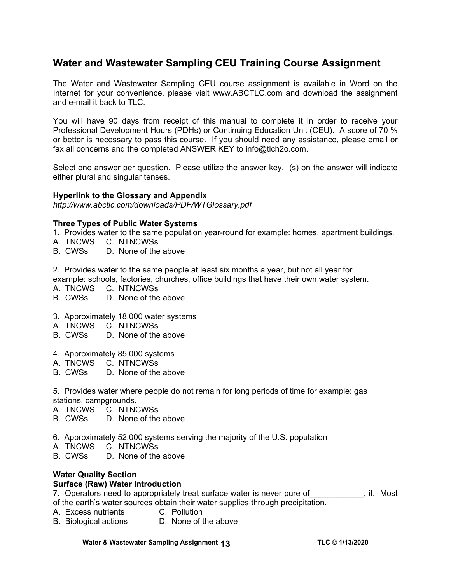# **Water and Wastewater Sampling CEU Training Course Assignment**

The Water and Wastewater Sampling CEU course assignment is available in Word on the Internet for your convenience, please visit [www.ABCTLC.com a](http://www.ABCTLC.com)nd download the assignment and e-mail it back to TLC.

You will have 90 days from receipt of this manual to complete it in order to receive your Professional Development Hours (PDHs) or Continuing Education Unit (CEU). A score of 70 % or better is necessary to pass this course. If you should need any assistance, please email or fax all concerns and the completed ANSWER KEY to info@tlch2o.com.

Select one answer per question. Please utilize the answer key. (s) on the answer will indicate either plural and singular tenses.

#### **Hyperlink to the Glossary and Appendix**

*<http://www.abctlc.com/downloads/PDF/WTGlossary.pdf>*

#### **Three Types of Public Water Systems**

- 1.Provides water to the same population year-round for example: homes, apartment buildings.
- A. TNCWS C. NTNCWSs
- B. CWSs D. None of the above

2. Provides water to the same people at least six months a year, but not all year for example: schools, factories, churches, office buildings that have their own water system.

- A. TNCWS C. NTNCWSs
- B. CWSs D. None of the above
- 3. Approximately 18,000 water systems
- A. TNCWS C. NTNCWSs
- B. CWSs D. None of the above
- 4. Approximately 85,000 systems
- A. TNCWS C. NTNCWSs
- B. CWSs D. None of the above

5. Provides water where people do not remain for long periods of time for example: gas stations, campgrounds.

- A. TNCWS C. NTNCWSs
- B. CWSs D. None of the above
- 6. Approximately 52,000 systems serving the majority of the U.S. population
- A. TNCWS C. NTNCWSs
- B. CWSs D. None of the above

# **Water Quality Section**

#### **Surface (Raw) Water Introduction**

7. Operators need to appropriately treat surface water is never pure of Theoral it. Most of the earth's water sources obtain their water supplies through precipitation.

- A. Excess nutrients C. Pollution
- B. Biological actions D. None of the above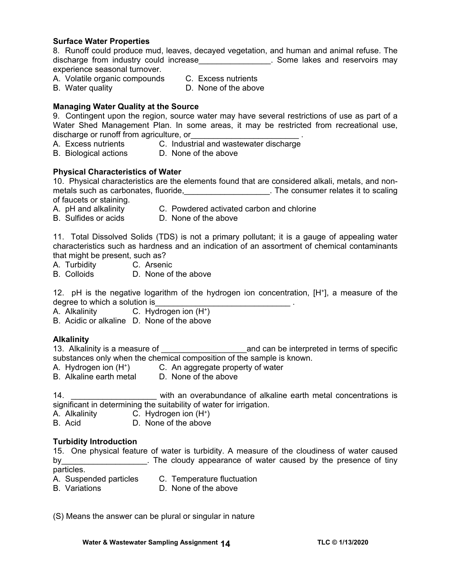#### **Surface Water Properties**

8. Runoff could produce mud, leaves, decayed vegetation, and human and animal refuse. The discharge from industry could increase\_\_\_\_\_\_\_\_\_\_\_\_\_\_\_\_. Some lakes and reservoirs may experience seasonal turnover.

- A. Volatile organic compounds C. Excess nutrients
	-
- 
- B. Water quality **D.** None of the above

## **Managing Water Quality at the Source**

9. Contingent upon the region, source water may have several restrictions of use as part of a Water Shed Management Plan. In some areas, it may be restricted from recreational use, discharge or runoff from agriculture, or

- A. Excess nutrients **C.** Industrial and wastewater discharge
- B. Biological actions D. None of the above

#### **Physical Characteristics of Water**

10. Physical characteristics are the elements found that are considered alkali, metals, and nonmetals such as carbonates, fluoride, the consumer relates it to scaling of faucets or staining.

- 
- A. pH and alkalinity C. Powdered activated carbon and chlorine
- B. Sulfides or acids D. None of the above

11. Total Dissolved Solids (TDS) is not a primary pollutant; it is a gauge of appealing water characteristics such as hardness and an indication of an assortment of chemical contaminants that might be present, such as?

- A. Turbidity C. Arsenic
- B. Colloids D. None of the above

12. pH is the negative logarithm of the hydrogen ion concentration, [H+], a measure of the degree to which a solution is

A. Alkalinity C. Hydrogen ion (H+)

B. Acidic or alkaline D. None of the above

#### **Alkalinity**

13. Alkalinity is a measure of **we are all and can be interpreted in terms of specific** substances only when the chemical composition of the sample is known.

- A. Hydrogen ion (H+) C. An aggregate property of water
- B. Alkaline earth metal D. None of the above

14. **11. 11.**  $\frac{1}{2}$  with an overabundance of alkaline earth metal concentrations is significant in determining the suitability of water for irrigation.

- A. Alkalinity C. Hydrogen ion (H+)
- B. Acid D. None of the above

#### **Turbidity Introduction**

15. One physical feature of water is turbidity. A measure of the cloudiness of water caused by by the cloudy appearance of water caused by the presence of tiny particles.

- 
- A. Suspended particles C. Temperature fluctuation
- B. Variations D. None of the above

(S) Means the answer can be plural or singular in nature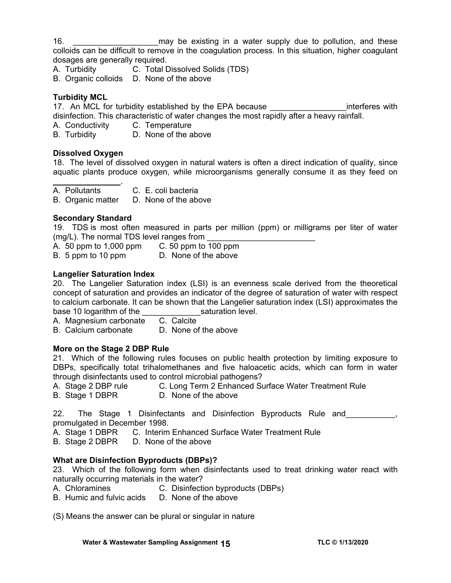16. **Example 16.** The may be existing in a water supply due to pollution, and these colloids can be difficult to remove in the coagulation process. In this situation, higher coagulant dosages are generally required.

A. Turbidity C. Total Dissolved Solids (TDS)

B. Organic colloids D. None of the above

# **Turbidity MCL**

17. An MCL for turbidity established by the EPA because **the endurance** interferes with disinfection. This characteristic of water changes the most rapidly after a heavy rainfall.

A. Conductivity C. Temperature

B. Turbidity D. None of the above

# **Dissolved Oxygen**

 $\mathcal{L}=\mathcal{L}^{\mathcal{L}}$  , where  $\mathcal{L}^{\mathcal{L}}$ 

18. The level of dissolved oxygen in natural waters is often a direct indication of quality, since aquatic plants produce oxygen, while microorganisms generally consume it as they feed on

A. Pollutants C. E. coli bacteria

B. Organic matter D. None of the above

# **Secondary Standard**

19. TDS is most often measured in parts per million (ppm) or milligrams per liter of water (mg/L). The normal TDS level ranges from  $\frac{1}{2}$  A. 50 ppm to 1,000 ppm

A.  $50$  ppm to 1,000 ppm B. 5 ppm to 10 ppm D. None of the above

# **Langelier Saturation Index**

20. The Langelier Saturation index (LSI) is an evenness scale derived from the theoretical concept of saturation and provides an indicator of the degree of saturation of water with respect to calcium carbonate. It can be shown that the Langelier saturation index (LSI) approximates the base 10 logarithm of the **saturation level.** 

A. Magnesium carbonate C. Calcite

B. Calcium carbonate D. None of the above

# **More on the Stage 2 DBP Rule**

21. Which of the following rules focuses on public health protection by limiting exposure to DBPs, specifically total trihalomethanes and five haloacetic acids, which can form in water through disinfectants used to control microbial pathogens?

- A. Stage 2 DBP rule C. Long Term 2 Enhanced Surface Water Treatment Rule
- B. Stage 1 DBPR D. None of the above

22. The Stage 1 Disinfectants and Disinfection Byproducts Rule and 1997, promulgated in December 1998.

A. Stage 1 DBPR C. Interim Enhanced Surface Water Treatment Rule

B. Stage 2 DBPR D. None of the above

# **What are Disinfection Byproducts (DBPs)?**

23. Which of the following form when disinfectants used to treat drinking water react with naturally occurring materials in the water?

- A. Chloramines C. Disinfection byproducts (DBPs)
- B. Humic and fulvic acids D. None of the above

(S) Means the answer can be plural or singular in nature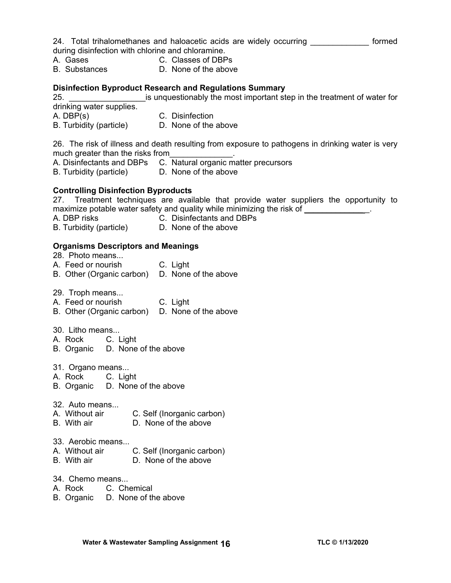24. Total trihalomethanes and haloacetic acids are widely occurring **cometal** formed during disinfection with chlorine and chloramine.

- A. Gases C. Classes of DBPs
- B. Substances D. None of the above

#### **Disinfection Byproduct Research and Regulations Summary**

25. \_\_\_\_\_\_\_\_\_\_\_\_\_\_\_\_\_is unquestionably the most important step in the treatment of water for drinking water supplies.

- A. DBP(s) C. Disinfection
- B. Turbidity (particle) D. None of the above

26. The risk of illness and death resulting from exposure to pathogens in drinking water is very much greater than the risks from

- A. Disinfectants and DBPs C. Natural organic matter precursors
- B. Turbidity (particle) D. None of the above

# **Controlling Disinfection Byproducts**

27. Treatment techniques are available that provide water suppliers the opportunity to maximize potable water safety and quality while minimizing the risk of  $\blacksquare$ 

- A. DBP risks C. Disinfectants and DBPs<br>B. Turbidity (particle) D. None of the above
- B. Turbidity (particle)

# **Organisms Descriptors and Meanings**

| 28. Photo means<br>A. Feed or nourish<br>B. Other (Organic carbon)                                    | C. Light<br>D. None of the above                   |  |  |
|-------------------------------------------------------------------------------------------------------|----------------------------------------------------|--|--|
| 29. Troph means<br>A. Feed or nourish<br>B. Other (Organic carbon) D. None of the above               | C. Light                                           |  |  |
| 30. Litho means<br>A. Rock C. Light<br>B. Organic D. None of the above                                |                                                    |  |  |
| 31. Organo means<br>A. Rock C. Light<br>B. Organic D. None of the above                               |                                                    |  |  |
| 32. Auto means<br>A. Without air<br>C. Self (Inorganic carbon)<br>D. None of the above<br>B. With air |                                                    |  |  |
| 33. Aerobic means<br>A. Without air<br>B. With air                                                    | C. Self (Inorganic carbon)<br>D. None of the above |  |  |
| 34. Chemo means                                                                                       |                                                    |  |  |

- A. Rock C. Chemical
- B. Organic D. None of the above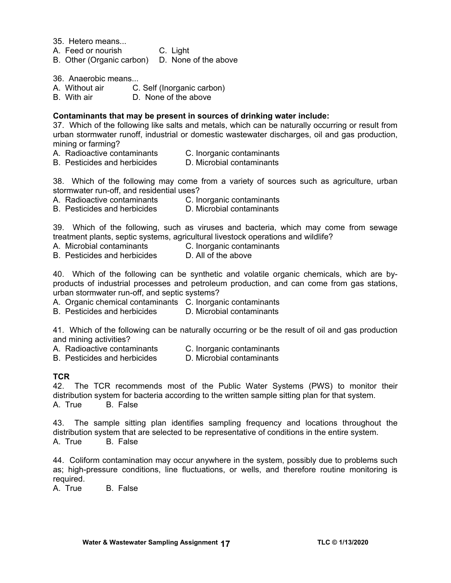35. Hetero means...

- A. Feed or nourish C. Light
- B. Other (Organic carbon) D. None of the above

36. Anaerobic means...

- A. Without air C. Self (Inorganic carbon)<br>B. With air B. None of the above
- D. None of the above

#### **Contaminants that may be present in sources of drinking water include:**

37. Which of the following like salts and metals, which can be naturally occurring or result from urban stormwater runoff, industrial or domestic wastewater discharges, oil and gas production, mining or farming?

- A. Radioactive contaminants C. Inorganic contaminants
- B. Pesticides and herbicides <br>
D. Microbial contaminants

38. Which of the following may come from a variety of sources such as agriculture, urban stormwater run-off, and residential uses?

- A. Radioactive contaminants C. Inorganic contaminants
- B. Pesticides and herbicides D. Microbial contaminants

39. Which of the following, such as viruses and bacteria, which may come from sewage treatment plants, septic systems, agricultural livestock operations and wildlife?

- A. Microbial contaminants C. Inorganic contaminants
- B. Pesticides and herbicides D. All of the above

40. Which of the following can be synthetic and volatile organic chemicals, which are byproducts of industrial processes and petroleum production, and can come from gas stations, urban stormwater run-off, and septic systems?

- A. Organic chemical contaminants C. Inorganic contaminants
- B. Pesticides and herbicides D. Microbial contaminants

41. Which of the following can be naturally occurring or be the result of oil and gas production and mining activities?

- A. Radioactive contaminants C. Inorganic contaminants
- B. Pesticides and herbicides D. Microbial contaminants

# **TCR**

42. The TCR recommends most of the Public Water Systems (PWS) to monitor their distribution system for bacteria according to the written sample sitting plan for that system. A. True B. False

43. The sample sitting plan identifies sampling frequency and locations throughout the distribution system that are selected to be representative of conditions in the entire system. A. True B. False

44. Coliform contamination may occur anywhere in the system, possibly due to problems such as; high-pressure conditions, line fluctuations, or wells, and therefore routine monitoring is required.

A. True B. False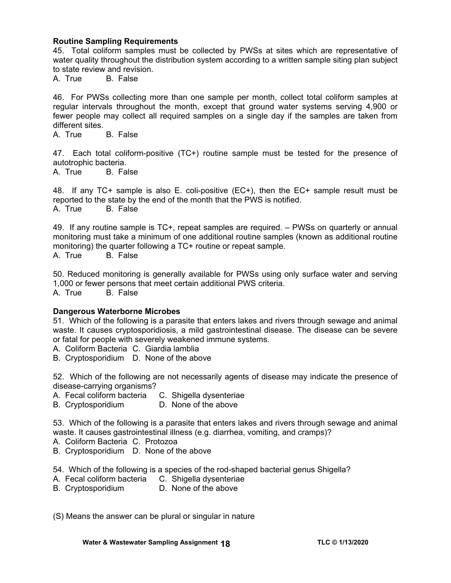#### **Routine Sampling Requirements**

45. Total coliform samples must be collected by PWSs at sites which are representative of water quality throughout the distribution system according to a written sample siting plan subject to state review and revision.

A. True B. False

46. For PWSs collecting more than one sample per month, collect total coliform samples at regular intervals throughout the month, except that ground water systems serving 4,900 or fewer people may collect all required samples on a single day if the samples are taken from different sites.

A. True B. False

47. Each total coliform-positive (TC+) routine sample must be tested for the presence of autotrophic bacteria.

A. True B. False

48. If any TC+ sample is also E. coli-positive (EC+), then the EC+ sample result must be reported to the state by the end of the month that the PWS is notified. A. True B. False

49. If any routine sample is TC+, repeat samples are required. – PWSs on quarterly or annual monitoring must take a minimum of one additional routine samples (known as additional routine monitoring) the quarter following a TC+ routine or repeat sample.

A. True B. False

50. Reduced monitoring is generally available for PWSs using only surface water and serving 1,000 or fewer persons that meet certain additional PWS criteria. A. True B. False

#### **Dangerous Waterborne Microbes**

51. Which of the following is a parasite that enters lakes and rivers through sewage and animal waste. It causes cryptosporidiosis, a mild gastrointestinal disease. The disease can be severe or fatal for people with severely weakened immune systems.

A. Coliform Bacteria C. Giardia lamblia

B. Cryptosporidium D. None of the above

52. Which of the following are not necessarily agents of disease may indicate the presence of disease-carrying organisms?

- A. Fecal coliform bacteria C. Shigella dysenteriae
- B. Cryptosporidium D. None of the above

53. Which of the following is a parasite that enters lakes and rivers through sewage and animal waste. It causes gastrointestinal illness (e.g. diarrhea, vomiting, and cramps)?

- A. Coliform Bacteria C. Protozoa
- B. Cryptosporidium D. None of the above

54. Which of the following is a species of the rod-shaped bacterial genus Shigella?

- A. Fecal coliform bacteria C. Shigella dysenteriae
- B. Cryptosporidium D. None of the above

(S) Means the answer can be plural or singular in nature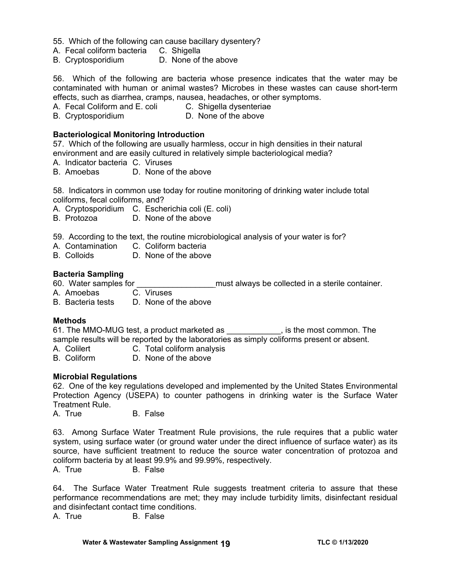55. Which of the following can cause bacillary dysentery?

- A. Fecal coliform bacteria C. Shigella
- B. Cryptosporidium D. None of the above

56. Which of the following are bacteria whose presence indicates that the water may be contaminated with human or animal wastes? Microbes in these wastes can cause short-term effects, such as diarrhea, cramps, nausea, headaches, or other symptoms.

A. Fecal Coliform and E. coli C. Shigella dysenteriae

B. Cryptosporidium D. None of the above

#### **Bacteriological Monitoring Introduction**

57. Which of the following are usually harmless, occur in high densities in their natural environment and are easily cultured in relatively simple bacteriological media?

- A. Indicator bacteria C. Viruses
- B. Amoebas D. None of the above

58. Indicators in common use today for routine monitoring of drinking water include total coliforms, fecal coliforms, and?

A. Cryptosporidium C. Escherichia coli (E. coli)

- B. Protozoa D. None of the above
- 59. According to the text, the routine microbiological analysis of your water is for?
- A. Contamination C. Coliform bacteria
- B. Colloids D. None of the above

#### **Bacteria Sampling**

- 60. Water samples for \_\_\_\_\_\_\_\_\_\_\_\_\_\_\_\_\_ must always be collected in a sterile container.
- A. Amoebas C. Viruses
- B. Bacteria tests D. None of the above

#### **Methods**

61. The MMO-MUG test, a product marketed as \_\_\_\_\_\_\_\_\_\_\_\_, is the most common. The sample results will be reported by the laboratories as simply coliforms present or absent.

- A. Colilert **C. Total coliform analysis**
- B. Coliform D. None of the above

#### **Microbial Regulations**

62. One of the key regulations developed and implemented by the United States Environmental Protection Agency (USEPA) to counter pathogens in drinking water is the Surface Water Treatment Rule.

A. True B. False

63. Among Surface Water Treatment Rule provisions, the rule requires that a public water system, using surface water (or ground water under the direct influence of surface water) as its source, have sufficient treatment to reduce the source water concentration of protozoa and coliform bacteria by at least 99.9% and 99.99%, respectively.

A. True B. False

64. The Surface Water Treatment Rule suggests treatment criteria to assure that these performance recommendations are met; they may include turbidity limits, disinfectant residual and disinfectant contact time conditions.

A. True B. False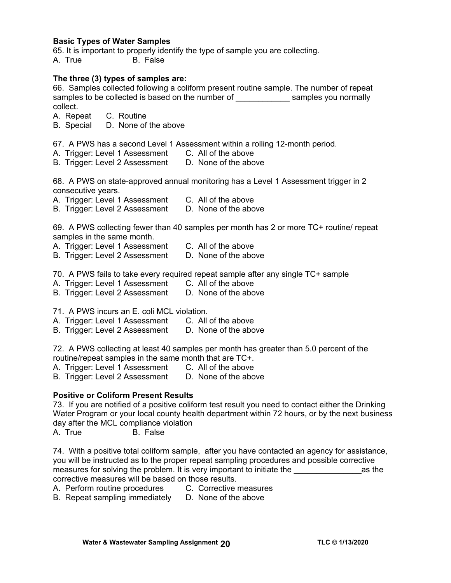#### **Basic Types of Water Samples**

65. It is important to properly identify the type of sample you are collecting. A. True B. False

#### **The three (3) types of samples are:**

66. Samples collected following a coliform present routine sample. The number of repeat samples to be collected is based on the number of samples you normally collect.

A. Repeat C. Routine

B. Special D. None of the above

- 67. A PWS has a second Level 1 Assessment within a rolling 12-month period.
- A. Trigger: Level 1 Assessment C. All of the above

B. Trigger: Level 2 Assessment D. None of the above

68. A PWS on state-approved annual monitoring has a Level 1 Assessment trigger in 2 consecutive years.

A. Trigger: Level 1 Assessment C. All of the above

B. Trigger: Level 2 Assessment D. None of the above

69. A PWS collecting fewer than 40 samples per month has 2 or more TC+ routine/ repeat samples in the same month.

- A. Trigger: Level 1 Assessment C. All of the above
- B. Trigger: Level 2 Assessment D. None of the above

70. A PWS fails to take every required repeat sample after any single TC+ sample

- A. Trigger: Level 1 Assessment C. All of the above<br>B. Trigger: Level 2 Assessment D. None of the above
- B. Trigger: Level 2 Assessment

71. A PWS incurs an E. coli MCL violation.

- A. Trigger: Level 1 Assessment C. All of the above
- B. Trigger: Level 2 Assessment D. None of the above

72. A PWS collecting at least 40 samples per month has greater than 5.0 percent of the routine/repeat samples in the same month that are TC+.

- 
- A. Trigger: Level 1 Assessment C. All of the above<br>B. Trigger: Level 2 Assessment D. None of the above B. Trigger: Level 2 Assessment

#### **Positive or Coliform Present Results**

73. If you are notified of a positive coliform test result you need to contact either the Drinking Water Program or your local county health department within 72 hours, or by the next business day after the MCL compliance violation

A. True B. False

74. With a positive total coliform sample, after you have contacted an agency for assistance, you will be instructed as to the proper repeat sampling procedures and possible corrective measures for solving the problem. It is very important to initiate the measures for solving the problem. It is very important to initiate the corrective measures will be based on those results.

A. Perform routine procedures C. Corrective measures

B. Repeat sampling immediately D. None of the above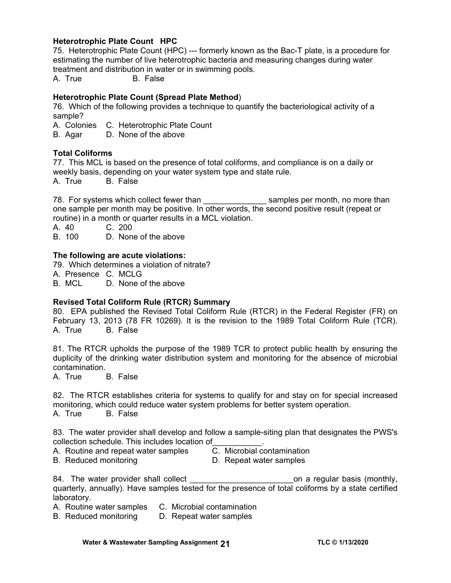# **Heterotrophic Plate Count HPC**

75. Heterotrophic Plate Count (HPC) --- formerly known as the Bac-T plate, is a procedure for estimating the number of live heterotrophic bacteria and measuring changes during water treatment and distribution in water or in swimming pools.

A. True B. False

#### **Heterotrophic Plate Count (Spread Plate Method**)

76. Which of the following provides a technique to quantify the bacteriological activity of a sample?

A. Colonies C. Heterotrophic Plate Count

B. Agar D. None of the above

#### **Total Coliforms**

77. This MCL is based on the presence of total coliforms, and compliance is on a daily or weekly basis, depending on your water system type and state rule.

A. True B. False

78. For systems which collect fewer than the samples per month, no more than one sample per month may be positive. In other words, the second positive result (repeat or routine) in a month or quarter results in a MCL violation.

A. 40 C. 200<br>B. 100 D. None

D. None of the above

#### **The following are acute violations:**

79. Which determines a violation of nitrate?

A. Presence C. MCLG

B. MCL D. None of the above

# **Revised Total Coliform Rule (RTCR) Summary**

80. EPA published the Revised Total Coliform Rule (RTCR) in the Federal Register (FR) on February 13, 2013 (78 FR 10269). It is the revision to the 1989 Total Coliform Rule (TCR). A. True B. False

81. The RTCR upholds the purpose of the 1989 TCR to protect public health by ensuring the duplicity of the drinking water distribution system and monitoring for the absence of microbial contamination.<br>A. True l

**B.** False

82. The RTCR establishes criteria for systems to qualify for and stay on for special increased monitoring, which could reduce water system problems for better system operation. A. True B. False

83. The water provider shall develop and follow a sample-siting plan that designates the PWS's collection schedule. This includes location of\_\_\_\_\_\_\_\_\_\_\_.

- A. Routine and repeat water samples C. Microbial contamination
- 
- 
- B. Reduced monitoring D. Repeat water samples
- 

84. The water provider shall collect example the state on a regular basis (monthly, quarterly, annually). Have samples tested for the presence of total coliforms by a state certified laboratory.

A. Routine water samples C. Microbial contamination

B. Reduced monitoring D. Repeat water samples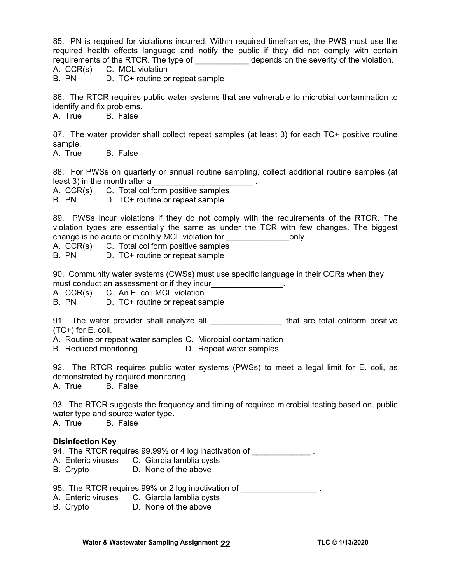85. PN is required for violations incurred. Within required timeframes, the PWS must use the required health effects language and notify the public if they did not comply with certain requirements of the RTCR. The type of \_\_\_\_\_\_\_\_\_\_\_\_\_\_ depends on the severity of the violation.

A. CCR(s) C. MCL violation

B. PN D. TC+ routine or repeat sample

86. The RTCR requires public water systems that are vulnerable to microbial contamination to identify and fix problems.

A. True B. False

87. The water provider shall collect repeat samples (at least 3) for each TC+ positive routine sample.

A. True B. False

88. For PWSs on quarterly or annual routine sampling, collect additional routine samples (at least 3) in the month after a

A. CCR(s) C. Total coliform positive samples

B. PN D. TC+ routine or repeat sample

89. PWSs incur violations if they do not comply with the requirements of the RTCR. The violation types are essentially the same as under the TCR with few changes. The biggest change is no acute or monthly MCL violation for example is no acute or monthly MCL violation for

A. CCR(s) C. Total coliform positive samples

B. PN D. TC+ routine or repeat sample

90. Community water systems (CWSs) must use specific language in their CCRs when they must conduct an assessment or if they incur\_\_\_\_\_\_\_\_\_\_\_\_\_\_\_.

A. CCR(s) C. An E. coli MCL violation

B. PN D. TC+ routine or repeat sample

91. The water provider shall analyze all **Example 2014** that are total coliform positive (TC+) for E. coli.

A. Routine or repeat water samples C. Microbial contamination

B. Reduced monitoring D. Repeat water samples

92. The RTCR requires public water systems (PWSs) to meet a legal limit for E. coli, as demonstrated by required monitoring.

A. True B. False

93. The RTCR suggests the frequency and timing of required microbial testing based on, public water type and source water type.

A. True B. False

# **Disinfection Key**

94. The RTCR requires 99.99% or 4 log inactivation of \_\_\_\_\_\_\_\_\_\_\_\_\_\_.

- A. Enteric viruses C. Giardia lamblia cysts
- B. Crypto D. None of the above

95. The RTCR requires 99% or 2 log inactivation of **with all and report of the RTCR** requires 99% or 2 log inactivation of

- A. Enteric viruses C. Giardia lamblia cysts
- B. Crypto D. None of the above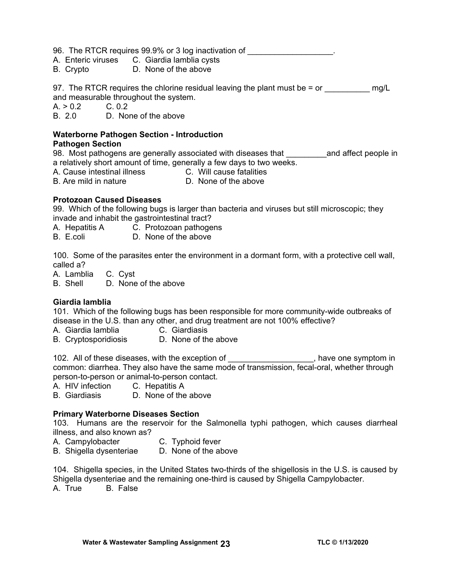96. The RTCR requires 99.9% or 3 log inactivation of  $\qquad \qquad$ 

- A. Enteric viruses C. Giardia lamblia cysts
- B. Crypto D. None of the above

97. The RTCR requires the chlorine residual leaving the plant must be  $=$  or  $mg/L$ and measurable throughout the system.<br>A.  $> 0.2$  C. 0.2

 $A. > 0.2$ 

B. 2.0 D. None of the above

# **Waterborne Pathogen Section - Introduction**

# **Pathogen Section**

98. Most pathogens are generally associated with diseases that **we all and affect people in** a relatively short amount of time, generally a few days to two weeks.

- A. Cause intestinal illness C. Will cause fatalities
- B. Are mild in nature D. None of the above

# **Protozoan Caused Diseases**

99. Which of the following bugs is larger than bacteria and viruses but still microscopic; they invade and inhabit the gastrointestinal tract?

- A. Hepatitis A C. Protozoan pathogens
- B. E.coli D. None of the above

100. Some of the parasites enter the environment in a dormant form, with a protective cell wall, called a?

A. Lamblia C. Cyst

B. Shell D. None of the above

# **Giardia lamblia**

101. Which of the following bugs has been responsible for more community-wide outbreaks of disease in the U.S. than any other, and drug treatment are not 100% effective?

- A. Giardia lamblia C. Giardiasis
- B. Cryptosporidiosis D. None of the above

102. All of these diseases, with the exception of \_\_\_\_\_\_\_\_\_\_\_\_\_\_\_\_\_\_\_, have one symptom in common: diarrhea. They also have the same mode of transmission, fecal-oral, whether through person-to-person or animal-to-person contact.

A. HIV infection C. Hepatitis A

B. Giardiasis D. None of the above

# **Primary Waterborne Diseases Section**

103. Humans are the reservoir for the Salmonella typhi pathogen, which causes diarrheal illness, and also known as?

A. Campylobacter **C.** Typhoid fever

B. Shigella dysenteriae D. None of the above

104. Shigella species, in the United States two-thirds of the shigellosis in the U.S. is caused by Shigella dysenteriae and the remaining one-third is caused by Shigella Campylobacter.

A. True B. False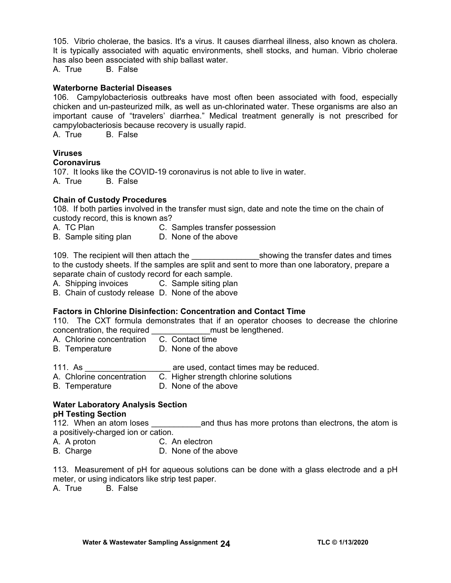105. Vibrio cholerae, the basics. It's a virus. It causes diarrheal illness, also known as cholera. It is typically associated with aquatic environments, shell stocks, and human. Vibrio cholerae has also been associated with ship ballast water.

A. True B. False

#### **Waterborne Bacterial Diseases**

106. Campylobacteriosis outbreaks have most often been associated with food, especially chicken and un-pasteurized milk, as well as un-chlorinated water. These organisms are also an important cause of "travelers' diarrhea." Medical treatment generally is not prescribed for campylobacteriosis because recovery is usually rapid.

A. True B. False

# **Viruses**

#### **Coronavirus**

107. It looks like the COVID-19 coronavirus is not able to live in water. A. True B. False

#### **Chain of Custody Procedures**

108. If both parties involved in the transfer must sign, date and note the time on the chain of custody record, this is known as?

- A. TC Plan C. Samples transfer possession
- B. Sample siting plan D. None of the above

109. The recipient will then attach the the showing the transfer dates and times to the custody sheets. If the samples are split and sent to more than one laboratory, prepare a separate chain of custody record for each sample.

A. Shipping invoices C. Sample siting plan

B. Chain of custody release D. None of the above

#### **Factors in Chlorine Disinfection: Concentration and Contact Time**

110. The CXT formula demonstrates that if an operator chooses to decrease the chlorine concentration, the required \_\_\_\_\_\_\_\_\_\_\_\_\_\_\_\_\_must be lengthened.

- A. Chlorine concentration C. Contact time
- B. Temperature D. None of the above
- 111. As \_\_\_\_\_\_\_\_\_\_\_\_\_\_\_\_\_\_\_\_\_\_\_\_\_ are used, contact times may be reduced.
- A. Chlorine concentration C. Higher strength chlorine solutions
- B. Temperature D. None of the above

## **Water Laboratory Analysis Section pH Testing Section**

112. When an atom loses \_\_\_\_\_\_\_\_\_\_\_and thus has more protons than electrons, the atom is a positively-charged ion or cation.

- A. A proton C. An electron
- B. Charge D. None of the above

113. Measurement of pH for aqueous solutions can be done with a glass electrode and a pH meter, or using indicators like strip test paper.

A. True B. False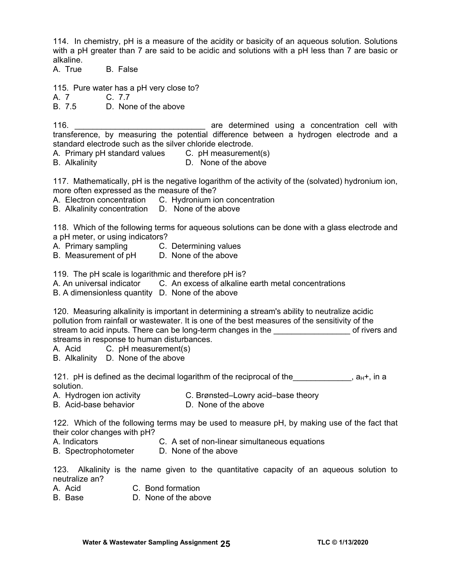114. In chemistry, pH is a measure of the acidity or basicity of an aqueous solution. Solutions with a pH greater than 7 are said to be acidic and solutions with a pH less than 7 are basic or alkaline.

A. True B. False

115. Pure water has a pH very close to?

A. 7 C. 7.7<br>B. 7.5 D. Nor

D. None of the above

116. **116. 116. 116. 116. 116. 116. 116. 116. 116. 116. 116. 116. 116. 116. 116. 116. 116. 116. 116. 116. 116. 116. 116. 116. 116. 116. 116. 116. 116. 116. 116.** transference, by measuring the potential difference between a hydrogen electrode and a standard electrode such as the silver chloride electrode.

A. Primary pH standard values C. pH measurement(s)

B. Alkalinity D. None of the above

117. Mathematically, pH is the negative logarithm of the activity of the (solvated) hydronium ion, more often expressed as the measure of the?

A. Electron concentration C. Hydronium ion concentration

B. Alkalinity concentration D. None of the above

118. Which of the following terms for aqueous solutions can be done with a glass electrode and a pH meter, or using indicators?

A. Primary sampling C. Determining values

B. Measurement of pH D. None of the above

119. The pH scale is logarithmic and therefore pH is?

A. An universal indicator C. An excess of alkaline earth metal concentrations

B. A dimensionless quantity D. None of the above

120. Measuring alkalinity is important in determining a stream's ability to neutralize acidic pollution from rainfall or wastewater. It is one of the best measures of the sensitivity of the stream to acid inputs. There can be long-term changes in the **Example 20** of rivers and streams in response to human disturbances.

A. Acid C. pH measurement(s)

B. Alkalinity D. None of the above

121. pH is defined as the decimal logarithm of the reciprocal of the  $A_{H}$ , a<sub>H</sub>+, in a solution.

- 
- A. Hydrogen ion activity C. Brønsted–Lowry acid–base theory

B. Acid-base behavior **D. None of the above** 

122. Which of the following terms may be used to measure pH, by making use of the fact that their color changes with pH?

- A. Indicators C. A set of non-linear simultaneous equations
- B. Spectrophotometer D. None of the above

123. Alkalinity is the name given to the quantitative capacity of an aqueous solution to neutralize an?

- A. Acid C. Bond formation
- B. Base D. None of the above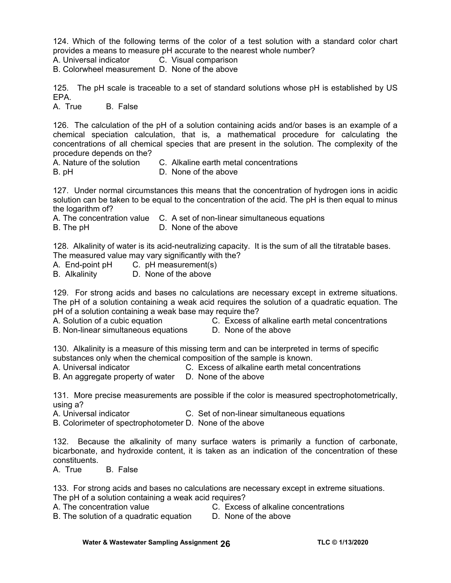124. Which of the following terms of the color of a test solution with a standard color chart provides a means to measure pH accurate to the nearest whole number?

A. Universal indicator C. Visual comparison

B. Colorwheel measurement D. None of the above

125. The pH scale is traceable to a set of standard solutions whose pH is established by US EPA.

A. True B. False

126. The calculation of the pH of a solution containing acids and/or bases is an example of a chemical speciation calculation, that is, a mathematical procedure for calculating the concentrations of all chemical species that are present in the solution. The complexity of the procedure depends on the?

A. Nature of the solution C. Alkaline earth metal concentrations

B. pHD. None of the above

127. Under normal circumstances this means that the concentration of hydrogen ions in acidic solution can be taken to be equal to the concentration of the acid. The pH is then equal to minus the logarithm of?

A. The concentration value C. A set of non-linear simultaneous equations

B. The pH **D. None of the above** 

128. Alkalinity of water is its acid-neutralizing capacity. It is the sum of all the titratable bases. The measured value may vary significantly with the?

A. End-point pH C. pH measurement(s)

B. Alkalinity D. None of the above

129. For strong acids and bases no calculations are necessary except in extreme situations. The pH of a solution containing a weak acid requires the solution of a quadratic equation. The pH of a solution containing a weak base may require the?

- A. Solution of a cubic equation C. Excess of alkaline earth metal concentrations
- B. Non-linear simultaneous equations D. None of the above
- 

130. Alkalinity is a measure of this missing term and can be interpreted in terms of specific substances only when the chemical composition of the sample is known.

A. Universal indicator C. Excess of alkaline earth metal concentrations

B. An aggregate property of water D. None of the above

131. More precise measurements are possible if the color is measured spectrophotometrically, using a?

A. Universal indicator C. Set of non-linear simultaneous equations

B. Colorimeter of spectrophotometer D. None of the above

132. Because the alkalinity of many surface waters is primarily a function of carbonate, bicarbonate, and hydroxide content, it is taken as an indication of the concentration of these constituents.

A. True B. False

133. For strong acids and bases no calculations are necessary except in extreme situations. The pH of a solution containing a weak acid requires?

A. The concentration value C. Excess of alkaline concentrations

B. The solution of a quadratic equation D. None of the above